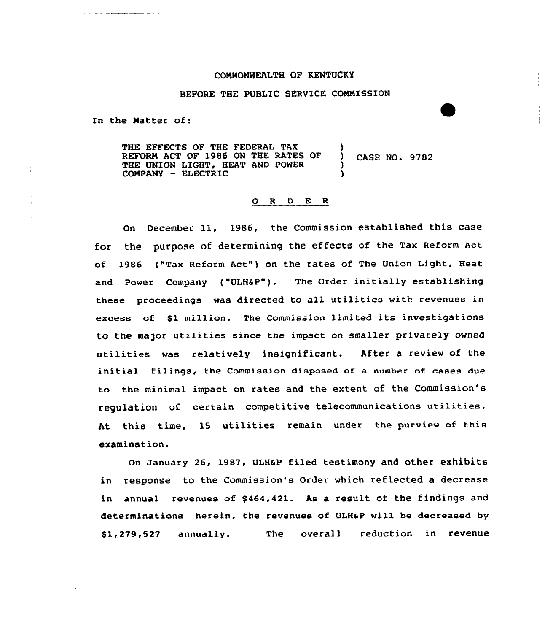# COMMONWEALTH OF KENTUCKY

#### BEFORE THE PUBLIC SERVICE COMMISSION

In the Matter of:

THE EFFECTS OF THE FEDERAL TAX REFORM ACT OF 1986 ON THE RATES OF ) CASE NO. 9782 THE UNION LIGHT, HEAT AND POWER COMPANY - ELECTRIC

#### 0 <sup>R</sup> <sup>D</sup> E <sup>R</sup>

On December 11, 1986, the Commission established this case for the purpose of determining the effects of the Tax Reform Act of 1986 ("Tax Reform Act") on the rates of The Union Light, Heat and Power Company ("ULH&P"). The Order initially establishing these proceedings was directed to all utilities with revenues in excess of \$1 million. The Commission limited its investigations to the major utilities since the impact on smaller privately owned utilities was relatively insignificant. After a review of the initial filings, the Commission disposed of a number of cases due to the minimal impact on rates and the extent of the Commission's regulation of certain competitive telecommunications utilities. At this time, 15 utilities remain under the purview of this examination.

On January 26, 1987, ULHaP filed testimony and other exhibits in response to the Commission's Order which reflected a decrease in annual revenues of \$464,421. As a result of the findings and determinations herein, the revenues of ULHaP vill be decreased by 81,279,527 annually. The overall reduction in revenue

الأرابان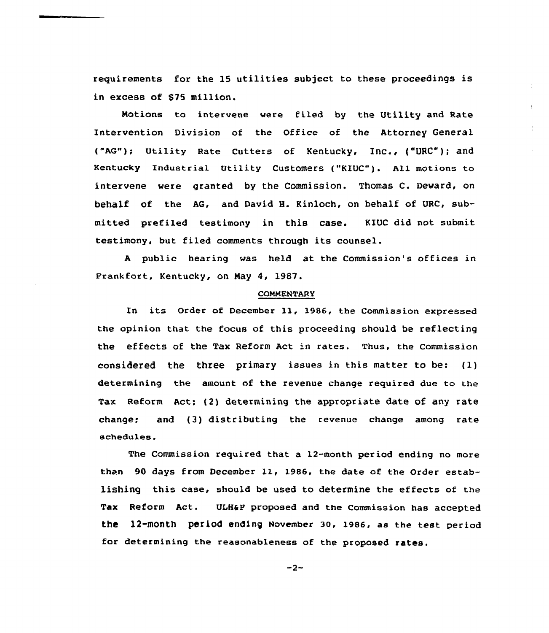requirements for the 15 utilities subject to these proceedings is in excess of \$75 million.

 $\pm$ 

Notions to intervene were filed by the Utility and Rate Intervention Division of the Office of the Attorney General {"AG"); Utility Rate cutters of Kentucky, Inc., ("URc"); and Kentucky Industrial Utility Customers ("KEUC"). A11 motions to intervene were granted by the Commission. Thomas C. Deward, on behalf of the AG, and David H. Kinloch, on behalf of URC, submitted prefiled testimony in this case. KIUC did not submit testimony, but filed comments through its counsel.

A public hearing was held at the Commission's offices in Frankfort, Kentucky, on May 4, 1987.

#### **COMMENTARY**

In its Order of December 11, 1986, the Commission expressed the opinion that the focus of this proceeding should be reflecting the effects of the Tax Reform Act in rates. Thus, the Commission considered the three primary issues in this matter to be: (l) determining the amount of the revenue change required due to the Tax Reform Act: (2) determining the appropriate date of any rate change; and (3) distributing the revenue change among rate schedules.

The Commission required that a 12-month period ending no more than 90 days from December 11, 1986, the date of the Order establishing this case, should be used to determine the effects of the Tax Reform Act. VLHaP proposed and the Commission has accepted the l2-month period ending November 30, 1986, as the test period for determining the reasonableness of the proposed rates.

 $-2-$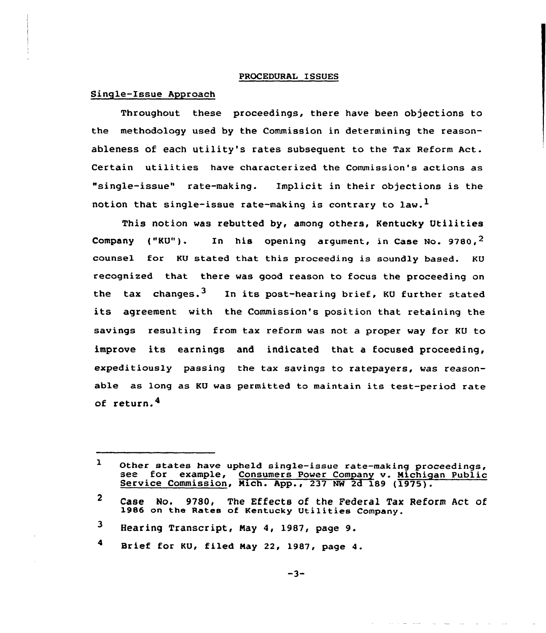#### PROCEDURAL ISSUES

#### Single-Issue Approach

Throughout these proceedings, there have been objections to the methodology used by the Commission in determining the reasonableness of each utility's rates subsequent to the Tax Reform Act. Certain utilities have characterized the Commission's actions as "single-issue" rate-making. Implicit in their objections is the notion that single-issue rate-making is contrary to law.<sup>1</sup>

This notion was rebutted by, among others, Kentucky Utilities Company ("KU"). In his opening argument, in Case No. 9780,<sup>2</sup> counsel for KU stated that this proceeding is soundly based. KU recognized that there was good reason to focus the proceeding on the tax changes.<sup>3</sup> In its post-hearing brief, KU further stated its agreement with the Commission's position that retaining the savings resulting from tax reform was not a proper way for KU to improve its earnings and indicated that <sup>a</sup> focused proceeding, expeditiously passing the tax savings to ratepayers, was reasonable as long as KU was permitted to maintain its test-period rate of return.

Brief for KU, filed May 22, 1987, page 4.

 $\mathbf{1}$ Other states have upheld single-issue rate-making proceedings, see for example, Consumers Power Company v. Michigan Public Service Commission, Mich. App., 237 NW 2d 189 (1975).

 $\mathbf{2}$ Case No. 9780, The Effects of the Federal Tax Reform Act of 1986 on the Rates of Kentucky Utilities Company.

 $\mathbf{3}$ Hearing Transcript, May 4, 1987, page 9.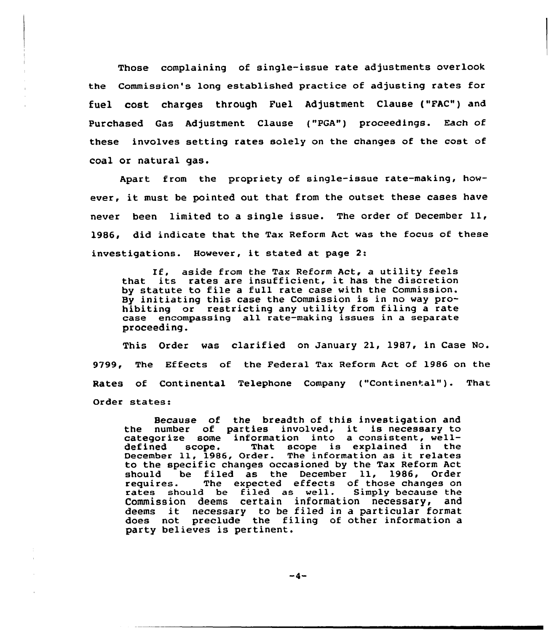Those complaining of single-issue rate adjustments overlook the Commission's long established practice of adjusting rates for fuel cost charges through Fuel Adjustment Clause ("FAC") and Purchased Gas Adjustment Clause {"PGA") proceedings. Each of these involves setting rates solely on the changes of the cost of coal or natural gas.

Apart from the propriety of single-issue rate-making, however, it must be pointed out that from the outset these cases have never been limited to <sup>a</sup> single issue. The order of December ll, 1986, did indicate that the Tax Reform Act was the focus of these investigations. However, it stated at page 2:

If. aside from the Tax Reform Act, <sup>a</sup> utility feels that its rates are insufficient, it has the discretion by statute to file a full rate case with the Commission. By initiating this case the Commission is in no way prohibiting or restricting any utility from filing a rate case encompassing all rate-making issues in a separate proceeding.

This Order was clarified on January 21, 1987, in Case No. 9799, The Effects of the Federal Tax Reform Act of 1986 on the Rates of Continental Telephone Company ("Continental"). That Order states:

Because of the breadth of this investigation and the number of parties involved, it is necessary to categorize some information into a consistent, welldefined scope. That scope is explained in the derined scope. That scope is explained in the<br>December 11, 1986, Order. The information as it relate to the specific changes occasioned by the Tax Reform Act should be filed as the December ll, 1986, Order The expected effects of those changes on<br>I be filed as well. Simply because the rates should be filed as  $well.$ Commission deems certain information necessary, and Commission deems certain information necessary, and<br>deems it necessary to be filed in a particular forma does not preclude the filing of other information a party believes is pertinent.

 $-4-$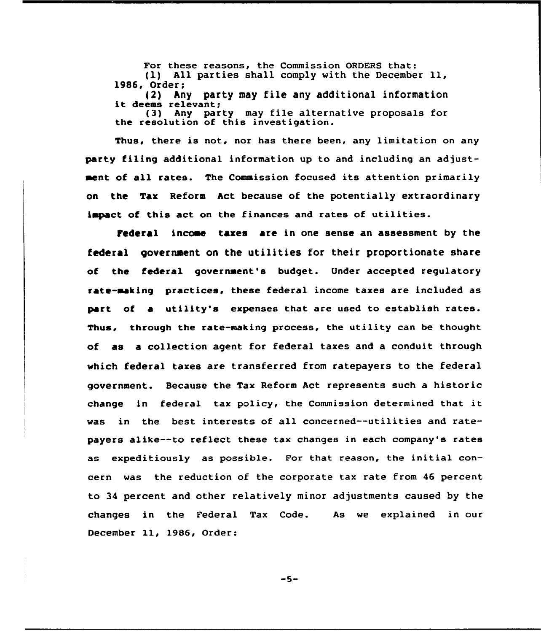For these reasons, the Commission ORDERS that: (1) All parties shall comply with the December ll, 1986, Order;<br>(2) An

(2) Any party may file any additional information it deems relevant; (3) Any party may file alternative proposals for the resolution of this investigation.

Thus, there is not, nor has there been, any limitation on any party filing additional information up to and including an adjustaent of all rates. The Commission focused its attention primarily on the Tax Reform Act because of the potentially extraordinary impact of this act on the finances and rates of utilities.

Pederal incaae taxes are in one sense an assessment by the federal government on the utilities for their proportionate share of the federal government's budget. Under accepted regulatory rate-making practices, these federal income taxes are included as part of a utility's expenses that are used to establish rates. Thus, through the rate-making process, the utility can be thought of as a collection agent for federal taxes and a conduit through which federal taxes are transferred from ratepayers to the federal government. Because the Tax Reform Act represents such a historic change in federal tax policy, the Commission determined that it was in the best interests of all concerned--utilities and ratepayers alike--to reflect these tax changes in each company's rates as expeditiously as possible. For that reason, the initial concern was the reduction of the corporate tax rate from 46 percent to 34 percent and other relatively minor adjustments caused by the changes in the Federal Tax Code. December ll, 1986, Order: As we explained in our

 $-5-$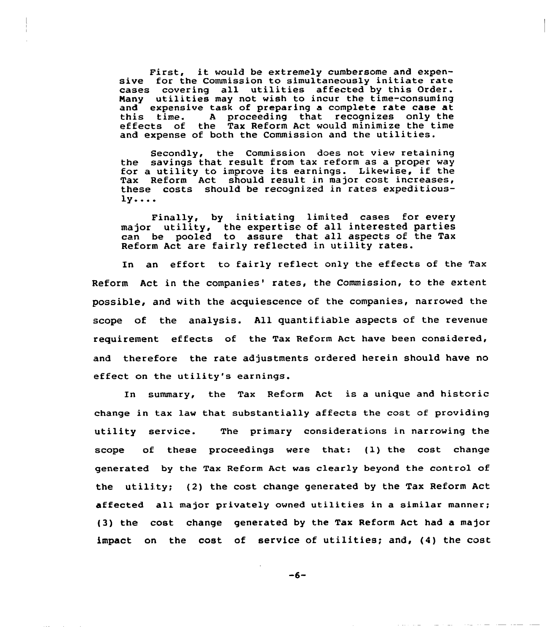First, it would be extremely cumbersome and expensive for the Commission to simultaneously initiate rate cases covering all utilities affected by this Order. Nany utilities may not wish to incur the time-consuming and expensive task of preparing a complete rate case at<br>this time. A proceeding that recognizes only the effects of the Tax Reform Act would minimize the time and expense of both the Commission and the utilities.

Secondly, the Commission does not view retaining the savings that result from tax reform as a proper way for a utility to improve its earnings. Likewise, if the Tax Reform Act should result in major cost increases, these costs should be recognized in rates expeditious- $1y...$ 

Finally, by initiating limited cases for every major utility, the expertise of all interested partie can be pooled to assure that all aspects of the Tax Reform Act are fairly reflected in utility rates.

In an effort to fairly reflect only the effects of the Tax Reform Act in the companies' rates, the Commission, to the extent possible, and with the acquiescence of the companies, narrowed the scope of the analysis. All quantifiable aspects of the revenue requirement effects of the Tax Reform Act have been considered, and therefore the rate adjustments ordered herein should have no effect on the utility's earnings.

In summary, the Tax Reform Act is a unique and historic change in tax law that substantially affects the cost of providing utility service. The primary considerations in narrowing the scope of these proceedings were that: (1) the cost change generated by the Tax Reform Act was clearly beyond the control of the utility; (2) the cost change generated by the Tax Reform Act affected all major privately owned utilities in a similar manner; (3) the cost change generated by the Tax Reform Act had a major impact on the cost of service of utilities; and, (4) the cost

 $-6-$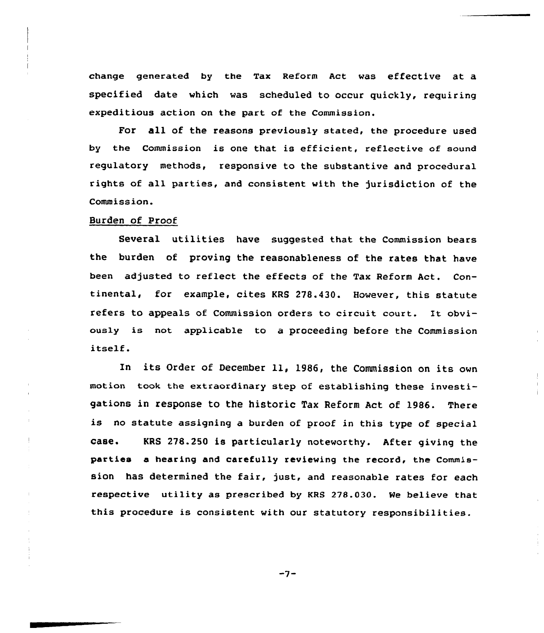change generated by the Tax Reform Act was effective at a specified date which was scheduled to occur quickly, requiring expeditious action on the part of the Commission.

For all of the reasons previously stated, the procedure used by the Commission is one that is efficient, reflective of sound regulatory methods, responsive to the substantive and procedural rights of all parties, and consistent with the jurisdiction of the Commission.

## Burden of Proof

Several utilities have suggested that the Commission bears the burden of proving the reasonableness of the rates that have been adjusted to reflect the effects of the Tax Reform Act. Continental, for example, cites KRS 278.430. However, this statute refers to appeals of Commission orders to circuit court. It obviously is not applicable to a proceeding before the Commission itself.

In its Order of December ll, 1986, the Commission on its own motion took the extraordinary step of establishing these investigations in response to the historic Tax Reform Act of 1986. There is no statute assigning <sup>a</sup> burden of proof in this type of special case. KRS 27&.250 is particularly noteworthy. After giving the parties a hearing and carefully reviewing the record, the Commission has determined the fair, just, and reasonable rates for each respective utility as prescribed by KRS 278.030. We believe that this procedure is consistent with our statutory responsibilities.

 $-7-$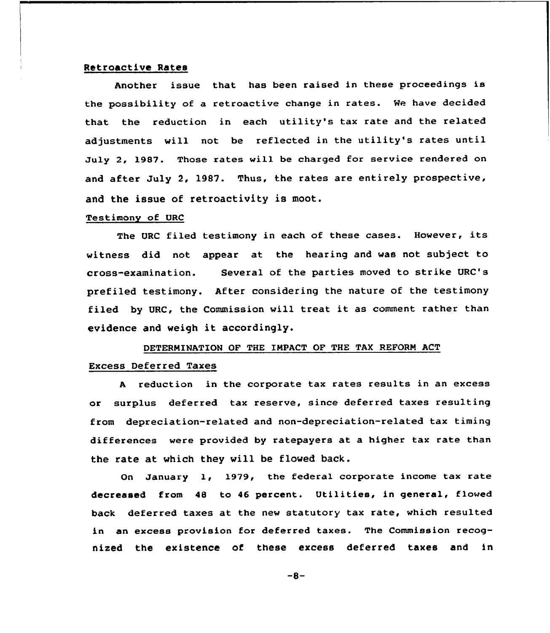#### Retroactive Rates

Another issue that has been raised in these proceedings is the possibility of a retroactive change in rates. Me have decided that the reduction in each utility's tax rate and the related adjustments will not be reflected in the utility's rates until July 2, 1987. Those rates will be charged for service rendered on and after July 2, 1987. Thus, the rates are entirely prospective, and the issue of retroactivity is moot.

#### Testimony of URC

The URC filed testimony in each of these cases. However, its witness did not appear at the hearing and was not subject to cross-examination. Several of the parties moved to strike URC's prefiled testimony. After considering the nature of the testimony filed by URC, the Commission will treat it as comment rather than evidence and weigh it accordingly.

# DETERMINATION OF THE IMPACT OF THE TAX REFORM ACT Excess Deferred Taxes

<sup>A</sup> reduction in the corporate tax rates results in an excess or surplus deferred tax reserve, since deferred taxes resulting from depreciation-related and non-depreciation-related tax timing differences were provided by ratepayers at a higher tax rate than the rate at which they will be flowed back.

On January 1, 1979< the federal corporate income tax rate decreased from 48 to <sup>46</sup> percent. Utilities, in general, flowed back deferred taxes at the new statutory tax rate, which resulted in an excess provision for deferred taxes. The Commission recognized the existence of these excess deferred taxes and in

 $-8-$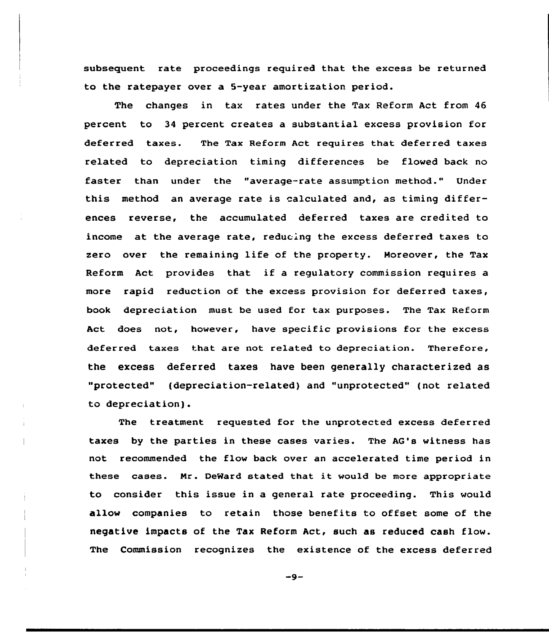subsequent rate proceedings required that the excess be returned to the ratepayer over a 5-year amortization period.

The changes in tax rates under the Tax Reform Act from 46 percent to 34 percent creates a substantial excess provision for deferred taxes. The Tax Reform Act requires that deferred taxes related to depreciation timing differences be flowed back no faster than under the "average-rate assumption method." Under this method an average rate is alculated and, as timing differences reverse, the accumulated deferred taxes are credited to income at the average rate, reducing the excess deferred taxes to zero over the remaining life of the property. Moreover, the Tax Reform Act provides that if <sup>a</sup> regulatory commission requires <sup>a</sup> more rapid reduction of the excess provision for deferred taxes, book depreciation must be used for tax purposes. The Tax Reform Act does not, however, have specific provisions for the excess deferred taxes that are not related to depreciation. Therefore, the excess deferred taxes have been generally characterized as "protected" (depreciation-related) and "unprotected" (not related to depreciation).

The treatment requested for the unprotected excess deferred taxes by the parties in these cases varies. The AG's witness has not recommended the flow back over an accelerated time period in these cases. Nr. DeWard stated that it would be more appropriate to consider this issue in a general rate proceeding. This would allow companies to retain those benefits to offset some of the negative impacts of the Tax Reform Act, such as reduced cash flow. The Commission recognizes the existence of the excess deferred

 $-9-$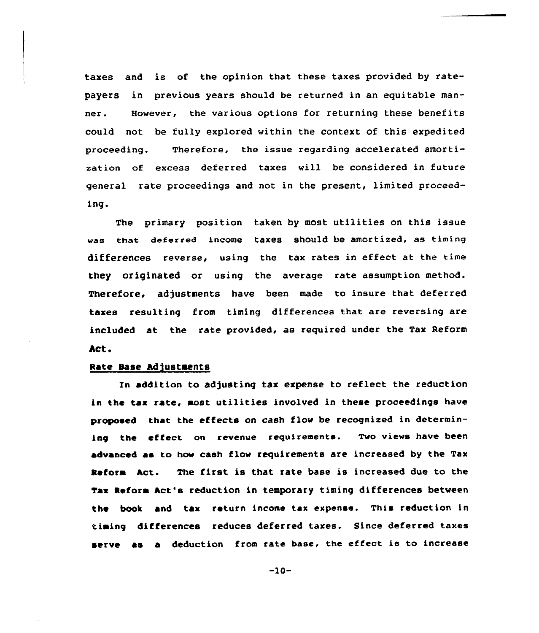taxes and is of the opinion that these taxes provided by ratepayers in previous years should be returned in an equitable manner. However, the various options for returning these benefits could not be fully explored within the context of this expedited proceeding. Therefore, the issue regarding accelerated amortization of excess deferred taxes will be considered in future general rate proceedings and not in the present, limited proceeding.

The primary position taken by most utilities on this issue was that deferred income taxes should be amortized, as timing differences reverse, using the tax rates in effect at the time they originated or using the average rate assumption method. Therefore, adjustments have been made to insure that deferred taxes resulting from timing differences that are reversing are included at the rate provided, as required under the Tax Reform Act.

# Rate Base Adjustments

In addition to adjusting tax expense to reflect the reduction in the tax rate, most utilities involved in these proceedings have proposed that the effects on cash flow be recognized in determining the effect on revenue requirements. Two views have been advanced as to how cash flow requirements are increased by the Tax Reform hct. The first is that rate base is increased due to the tax Reform hct's reduction in temporary timing differences between the book and tax return income tax expense. This reduction in timing differences reduces deferred taxes. Since deferred taxes serve as a deduction from rate base, the effect is to increase

 $-10-$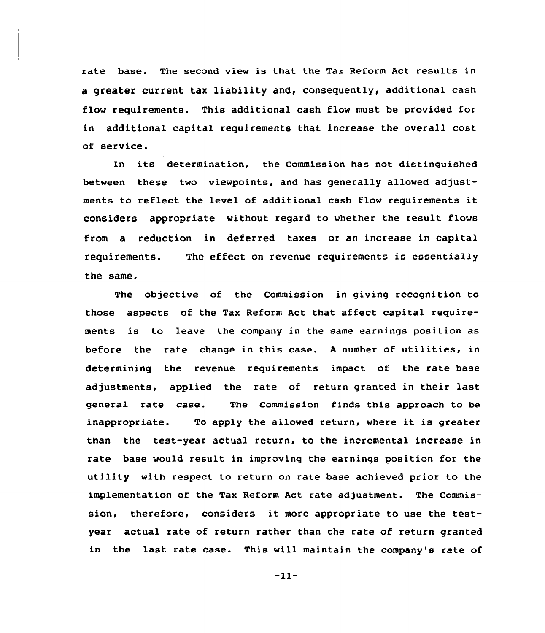rate base. The second view is that the Tax Reform Act results in a greater current tax liability and, consequently, additional cash flow requirements. This additional cash flow must be provided for in additional capital requirements that increase the overall cost of service.

In its determination, the Commission has not distinguished between these two viewpoints, and has generally allowed adjustments to reflect the level of additional cash flow requirements it considers appropriate without regard to whether the result flows from a reduction in deferred taxes or an increase in capital requirements. The effect on revenue requirements is essentially the same.

The objective of the Commission in giving recognition to those aspects of the Tax Reform Act that affect capital requirements is to leave the company in the same earnings position as before the rate change in this case. <sup>A</sup> number of utilities, in determining the revenue requirements impact of the rate base adjustments, applied the rate of return granted in their last general rate case. The Commission finds this approach to be inappropriate. To apply the allowed return, where it is greater than the test-year actual return, to the incremental increase in rate base would result in improving the earnings position for the utility with respect to return on rate base achieved prior to the implementation of the Tax Reform Act rate adjustment. The Commission, therefore, considers it more appropriate to use the testyear actual rate of return rather than the rate of return granted in the last rate case. This will maintain the company's rate of

 $-11-$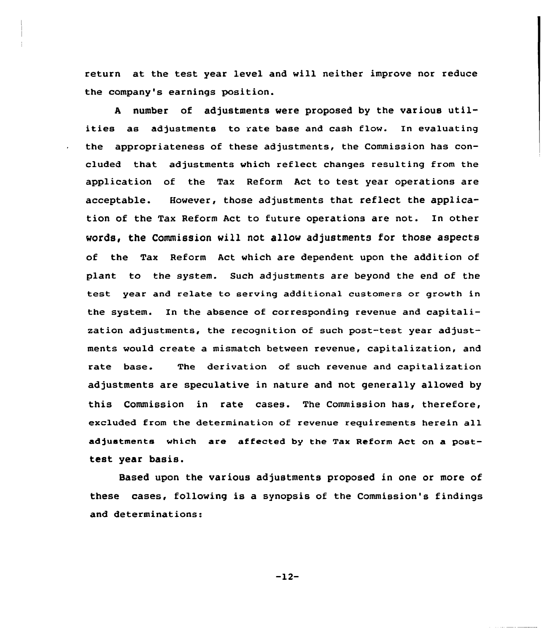return at the test year level and will neither improve nor reduce the company's earnings position.

<sup>A</sup> number of adjustments were proposed by the various utilities as adjustments to rate base and cash flow. In evaluating the appropriateness of these adjustments, the Commission has concluded that adjustments which reflect changes resulting from the application of the Tax Reform Act to test year operations are acceptable. However, those adjustments that reflect the application of the Tax Reform Act to future operations are not. In other words, the Commission will not allow adjustments for those aspects of the Tax Reform Act which are dependent upon the addition of plant to the system. Such adjustments are beyond the end of the test year and relate to serving additional customers or growth in the system. In the absence of corresponding revenue and capitalization adjustments, the recognition of such post-test year adjustments would create a mismatch between revenue, capitalization, and rate base. The derivation of such revenue and capitalization adjustments are speculative in nature and not generally allowed by this Commission in rate cases. The Commission has, therefore, excluded from the determination of revenue requirements herein all adjustments which are affected by the Tax Reform Act on a posttest year basis.

Based upon the various adjustments proposed in one or more of these cases, following is a synopsis of the Commission's findings and determinations:

 $-12-$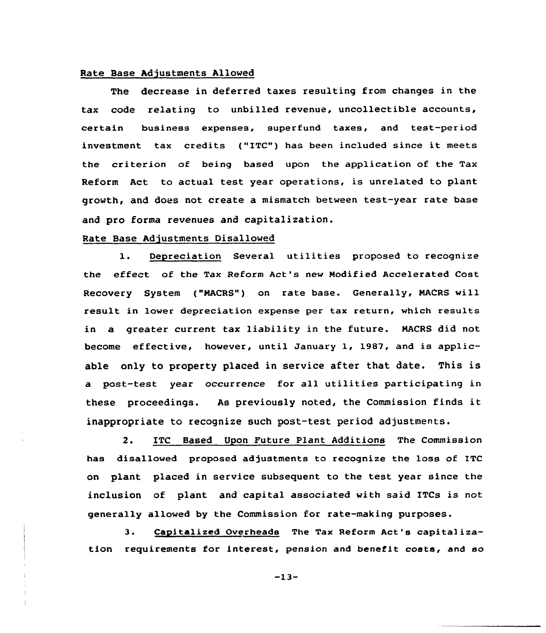#### Rate Base Adjustments Allawed

The decrease in deferred taxes resulting from changes in the tax code relating to unbilled revenue, uncollectible accounts, certain business expenses, superfund taxes, and test-period investment tax credits ("ITC") has been included since it meets the criterion of being based upon the application of the Tax Reform Act to actual test year operations, is unrelated to plant growth, and does not create a mismatch between test-year rate base and pro forma revenues and capitalization.

# Rate Base Adjustments Disallowed

1. Depreciation Several utilities proposed to recognize the effect of the Tax Reform Act's new Modified Accelerated Cost Recovery System ("MACRS") on rate base. Generally, NACRS will result in lower depreciation expense per tax return, which results in a greater current tax liability in the future. NACRS did not become effective, however, until January 1, 1987, and is applicable only to property placed in service after that date. This is a post-test year occurrence for all utilities participating in these proceedings. As previously noted, the Commission finds it inappropriate to recognize such post-test period adjustments.

2. ITC Based Upon Future Plant Additians The Commission has disallowed proposed adjustments to recognize the loss of ITC on plant placed in service subsequent to the test year since the inclusion of plant and capital associated with said ITCs is not generally allowed by the Commission for rate-making purposes.

3. Cagitalized Overheads The Tax Reform Act's capitalization requirements for interest, pension and benefit costs, and so

-13-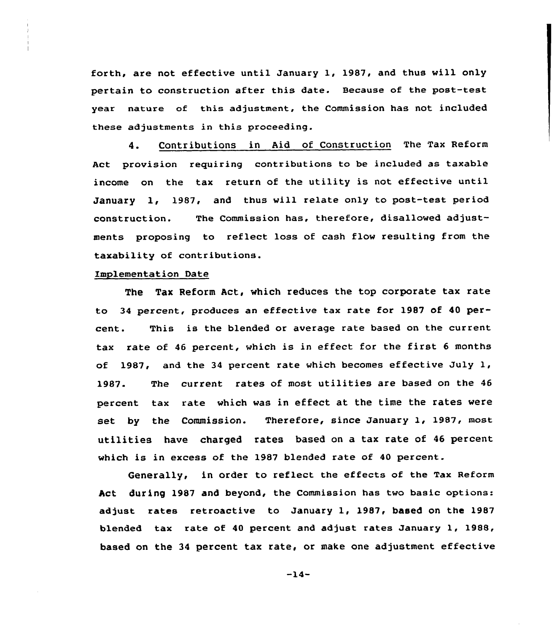forth, are not effective until January 1, 1987, and thus will only pertain to construction after this date. Because of the post-test year nature of this adjustment, the Commission has not included these adjustments in this proceeding.

4. Contributions in Aid of Construction The Tax Reform Act provision requiring contributions to be included as taxable income on the tax return of the utility is not effective until January 1, 1987, and thus will relate only to post-test period construction. The Commission has, therefore, disallowed adjustments proposing to reflect loss of cash flow resulting from the taxability of contributions.

# Implementation Date

The Tax Reform Act, which reduces the top corporate tax rate to 34 percent, produces an effective tax rate for 1987 of 40 percent. This is the blended or average rate based on the current tax rate of <sup>46</sup> percent, which is in effect for the first <sup>6</sup> months of 1987, and the <sup>34</sup> percent rate which becomes effective July 1, 1987. The current rates of most utilities are based on the <sup>46</sup> percent tax rate which was in effect at the time the rates were set by the Commission. Therefore, since January 1, 1987, most utilities have charged rates based on a tax rate of <sup>46</sup> percent which is in excess cf the 1987 blended rate of <sup>40</sup> percent.

Generally, in order to reflect the effects of the Tax Reform Act during 1987 and beyond, the Commission has two basic options: adjust rates retroactive to January 1, 1987, based on the 1987 blended tax rate of 40 percent and adjust rates January 1, 1988, based on the 34 percent tax rate, or make one adjustment effective

 $-14-$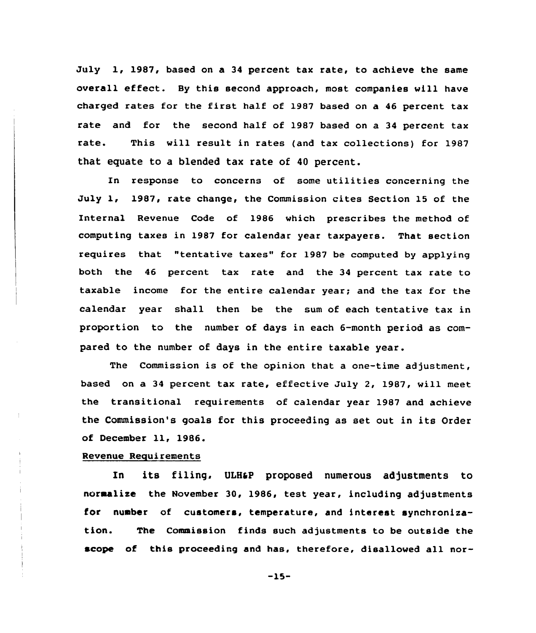July 1, 1987, based on a 34 percent tax rate, to achieve the same overall effect. By this second approach, most companies will have charged rates for the first half of 1987 based on a 46 percent tax rate and for the second half of 1987 based on a 34 percent tax rate. This will result in rates (and tax collections) for 1987 that equate to a blended tax rate of 40 percent.

In response to concerns of some utilities concerning the July 1, 1987, rate change, the Commission cites Section 15 of the Internal Revenue Code of 1986 which prescribes the method of computing taxes in 1987 for calendar year taxpayers. That section requires that "tentative taxes" for 1987 be computed by applying both the 46 percent tax rate and the 34 percent tax rate to taxable income for the entire calendar year; and the tax for the calendar year shall then be the sum of each tentative tax in proportion to the number of days in each 6-month period as compared to the number of days in the entire taxable year.

The Commission is of the opinion that a one-time adjustment, based on a 34 percent tax rate, effective July 2, 1987, vill meet the transitional requirements of calendar year 1987 and achieve the Commission's goals for this proceeding as set out in its Order of December ll, 1986.

#### Revenue Requirements

In its filing, ULHaP proposed numerous adjustments to normalize the November 30, 1986, test year, including adjustments for number of customers, temperature, and interest synchronization. The Commission finds such adjustments to be outside the scope of this proceeding and has, therefore, disallowed all nor-

-15-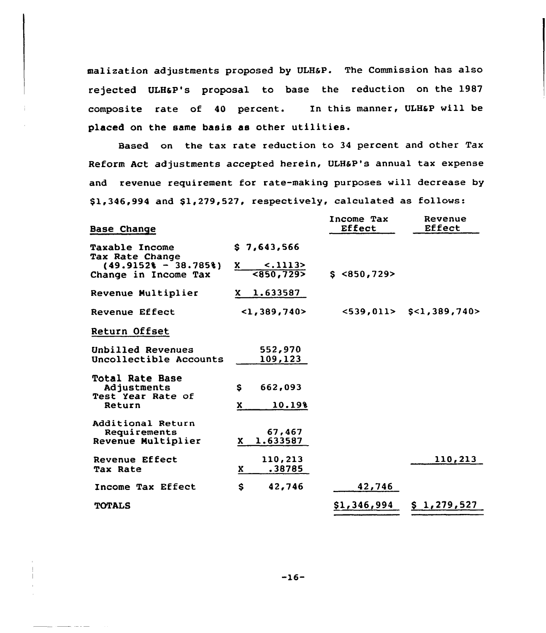malization adjustments proposed by ULHaP. The Commission has also rejected ULHaP's proposal to base the reduction on the 1987 composite rate of 40 percent. In this manner, ULHaP will be placed on the same basis as other utilities.

Based on the tax rate reduction to 34 percent and other Tax Reform Act adjustments accepted herein, ULHsP's annual tax expense and revenue requirement for rate-making purposes will decrease by  $$1,346,994$  and  $$1,279,527$ , respectively, calculated as follows:

| <b>Base Change</b>                                                   |                                           | Income Tax<br>Effect  | Revenue<br>Effect                  |
|----------------------------------------------------------------------|-------------------------------------------|-----------------------|------------------------------------|
| <b>Taxable Income</b><br>Tax Rate Change                             | \$7,643,566                               |                       |                                    |
| $(49.91528 - 38.7858)$<br>Change in Income Tax                       | $-.1113>$<br>X.<br>$\overline{<}850,7295$ | \$ <b>850,729&gt;</b> |                                    |
| Revenue Multiplier                                                   | $X \quad 1.633587$                        |                       |                                    |
| Revenue Effect                                                       | 1,389,740                                 |                       | $<$ 539,011> $\;$ \$ < 1,389,740 > |
| Return Offset                                                        |                                           |                       |                                    |
| Unbilled Revenues<br>Uncollectible Accounts                          | 552,970<br>109,123                        |                       |                                    |
| <b>Total Rate Base</b><br>Adjustments<br>Test Year Rate of<br>Return | S.<br>662,093<br>10.19%<br>x.             |                       |                                    |
| Additional Return<br>Requirements<br>Revenue Multiplier              | 67,467<br>1.633587<br>X.                  |                       |                                    |
| Revenue Effect<br>Tax Rate                                           | 110,213<br>.38785<br>x.                   |                       | 110,213                            |
| Income Tax Effect                                                    | $\mathbf{s}$<br>42,746                    | 42,746                |                                    |
| <b>TOTALS</b>                                                        |                                           | \$1,346,994           | \$1,279,527                        |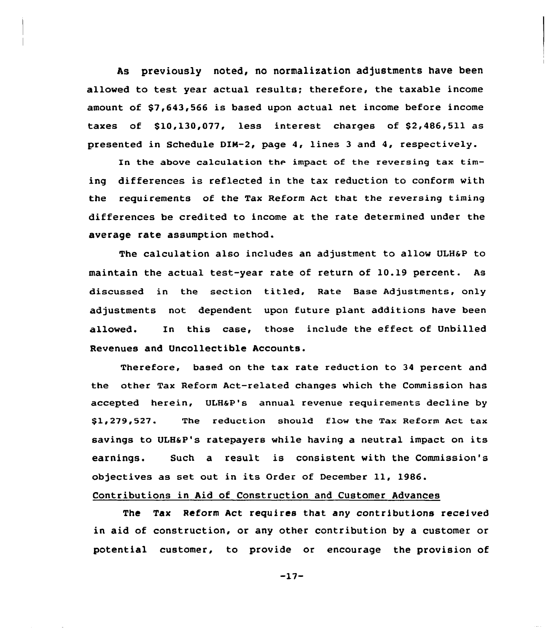As previously noted, no normalization adjustments have been allowed to test year actual results; therefore, the taxable income amount of \$7,643,566 is based upon actual net income before income taxes of \$10,130,077, less interest charges of \$2,486,511 as presented in Schedule DIN-2, page 4, lines 3 and 4, respectively.

In the above calculation the impact of the reversing tax timing differences is reflected in the tax reduction to conform with the requirements of the Tax Reform Act that the reversing timing differences be credited to income at the rate determined under the average rate assumption method.

The calculation also includes an adjustment to allow ULH&P to maintain the actual test-year rate of return of 10.19 percent. As discussed in the section titled, Rate Base Adjustments, only adjustments not dependent upon future plant additions have been allowed. In this case, those include the effect of Unbilled Revenues and Uncollectible Accounts.

Therefore, based on the tax rate reduction to 34 percent and the other Tax Reform Act-related changes which the Commission has accepted herein, ULHaP's annual revenue requirements decline by \$ 1,279,527. The reduction should flow the Tax Reform Act tax savings to ULH&P's ratepayers while having a neutral impact on its earnings. Such a result is consistent with the Commission's objectives as set out in its Order of December 11, 1986.

# Contributions in Aid of Construction and Customer Advances

The Tax Reform Act requires that any contributions received in aid of construction, or any other contribution by a customer or potential customer, to provide or encourage the provision of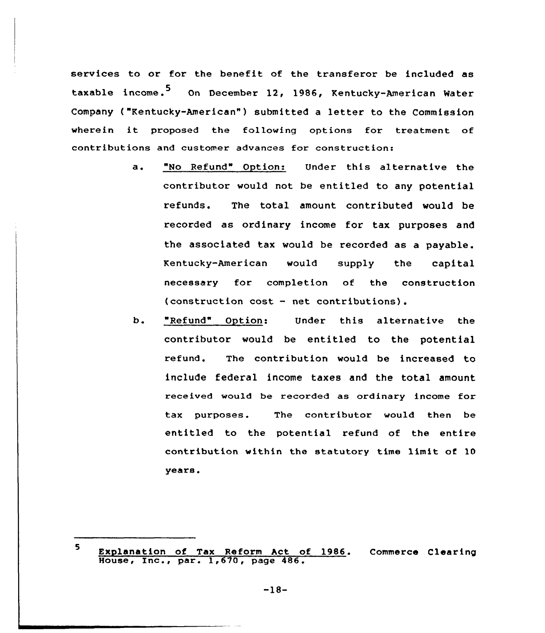services to or for the benefit of the transferor be included as taxable income.<sup>5</sup> On December 12, 1986, Kentucky-American Water Company ("Kentucky-American") submitted a letter to the Commission wherein it proposed the following options for treatment of contributions and customer advances for construction:

- a ~ "No Refund" Option: Under this alternative the contributor would not be entitled to any potential refunds. The total amount contributed would be recorded as ordinary income for tax purposes and the associated tax would be recorded as a payable. Kentucky-American would supply the capital necessary for completion of the construction (construction cost — net contributions).
- b. "Refund" Option: Under this alternative the contributor would be entitled to the potential refund. The contribution would be increased to include federal income taxes and the total amount received would be recorded as ordinary income for tax purposes. The contributor would then be entitled to the potential refund of the entire contribution within the statutory time limit of 10 years.

-18-

<sup>5</sup> Explanation of Tax Reform Act of 1986. Commerce Clearin Explanation of lax Reform ACt of the Manuscript Contract of the Manuscript Contract Contract Contract Contract Contract Contract Contract Contract Contract Contract Contract Contract Contract Contract Contract Contract Con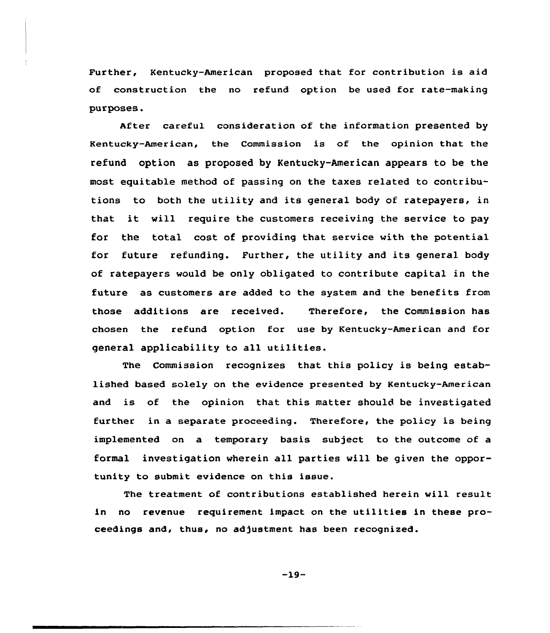Further, Kentucky-American proposed that for contribution is aid of construction the no refund option be used for rate-making purposes.

After careful consideration of the information presented by Kentucky-American, the Commission is of the opinion that the refund option as proposed by Kentucky-American appears to be the most equitable method of passing on the taxes related to contributions to both the utility and its general body of ratepayers, in that it will require the customers receiving the service to pay for the total cost of providing that service with the potential for future refunding. Further, the utility and its general body of ratepayers would be only obligated to contribute capital in the future as customers are added to the system and the benefits from those additions are received. Therefore, the Commission has chosen the refund option for use by Kentucky-American and for general applicability to all utilities.

The Commission recognizes that this policy is being established based solely on the evidence presented by Kentucky-American and is of the opinion that this matter should be investigated further in a separate proceeding. Therefore, the policy is being implemented on a temporary basis subject to the outcome of a formal investigation wherein all parties will be given the opportunity to submit evidence on this issue.

The treatment of contributions established herein will result in no revenue requirement impact on the utilities in these proceedings and, thus, no adjustment has been recognized.

 $-19-$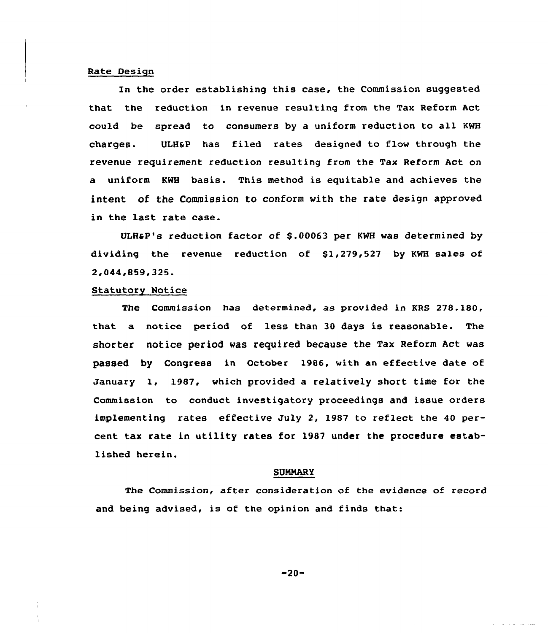#### Rate Design

In the order establishing this case, the Commission suggested that the reduction in revenue resulting from the Tax Reform Act could be spread to consumers by a uniform reduction to all KWH charges. ULH6P has filed rates designed to flow through the revenue requirement reduction resulting from the Tax Reform Act on a uniform KWH basis. This method is equitable and achieves the intent of the Commission to conform with the rate design approved in the last rate case.

ULH&P's reduction factor of \$.00063 per KWH was determined by dividing the revenue reduction of  $$1,279,527$  by KWH sales of 2,044,859,325.

#### Statutory Notice

The Commission has determined, as provided in KRS 278.180, that a notice period of less than 30 days is reasonable. The shorter notice period was required because the Tax Reform Act was passed by Congress in October 1986, with an effective date of January 1, 1987, which provided a relatively short time for the Commission to conduct investigatory proceedings and issue orders implementing rates effective July 2, 1987 to reflect the 40 percent tax rate in utility rates for 1987 under the procedure established herein.

#### **SUMMARY**

The Commission, after consideration of the evidence of record and being advised, is of the opinion and finds that:

 $-20-$ 

ستدارك الداريات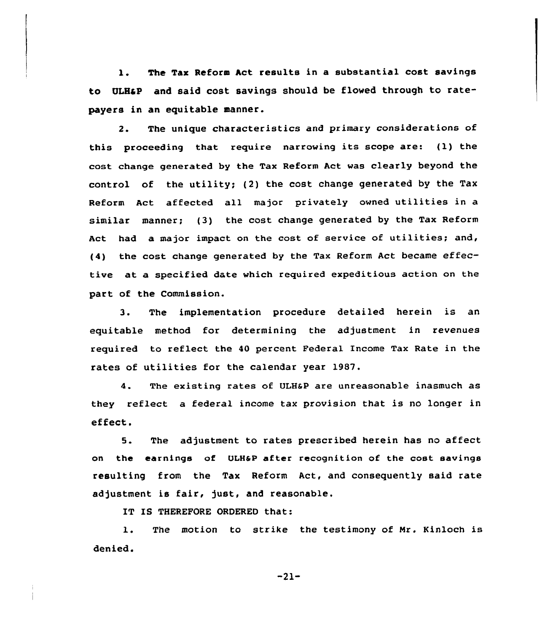1. The Tax Reform Act results in <sup>a</sup> substantial cost savings to ULHaP and said cost savings should be flowed through to ratepayers in an equitable manner.

2. The unique characteristics and primary considerations of this proceeding that require narrowing its scope are: (1) the cost change generated by the Tax Reform Act was clearly beyond the control of the utility; (2) the cost change generated by the Tax Reform Act affected all major privately owned utilities in <sup>a</sup> similar manner; (3) the cost change generated by the Tax Reform Act had a major impact on the cost of service of utilities; and, (4) the cost change generated by the Tax Reform Act became effective at a specified date which required expeditious action on the part of the Commission.

3. The implementation procedure detailed herein is an equitable method for determining the adjustment in revenues required to reflect the 40 percent Federal Income Tax Rate in the rates of utilities for the calendar year 1987.

4. The existing rates of ULHaP are unreasonable inasmuch as they reflect a federal income tax provision that is no longer in effect.

5. The adjustment to rates prescribed herein has no affect on the earnings of ULHSP after recognition of the cost savings resulting from the Tax Reform Act, and consequently said rate adjustment is fair, just, and reasonable.

IT IS THEREFORE ORDERED that:

l. The motion to strike the testimony of Mr. Kinioch is denied.

 $-21-$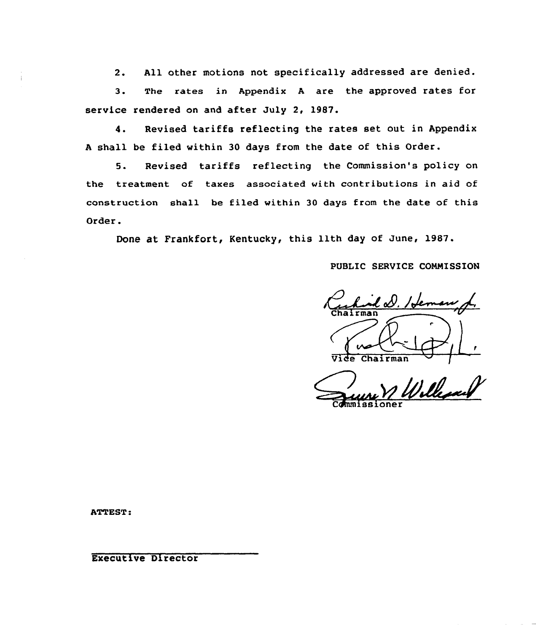2. All other motions not specifically addressed are denied.

3. The rates in Appendix <sup>A</sup> are the approved rates for service rendered on and after July 2, 1981.

4. Revised tariffs reflecting the rates set out in Appendix <sup>A</sup> shall be filed within 30 days from the date of this Order.

5. Revised tariffs reflecting the Commission's policy on the treatment of taxes associated with contributions in aid of construction shall be filed within 30 days from the date of this Order.

Done at Frankfort, Kentucky, this 11th day of June, 1987.

PUBLIC SERVICE COMMISSION

 $l$   $d$ . / Jen Chairman

Ville Commissione

ATTEST:

Executive Director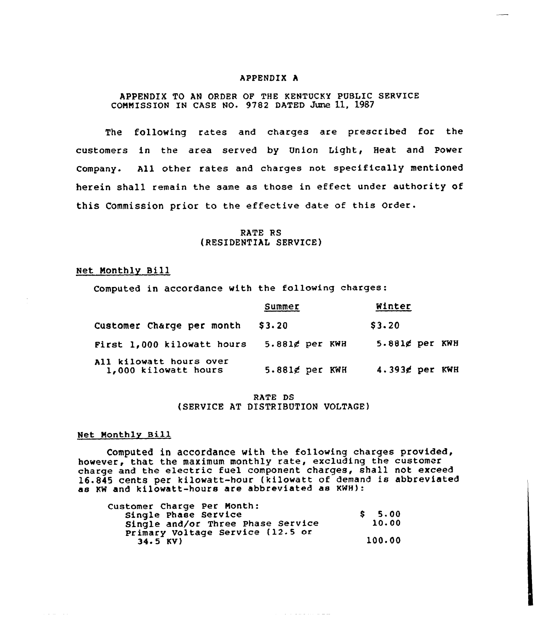#### APPENDIX <sup>A</sup>

# APPENDIX TO AN ORDER OF THE KENTUCKY PUBLIC SERVICE COMMISSION IN CASE NO. 9782 DATED June 11, 1987

The following rates and charges are prescribed for the customers in the area served by Union Light, Heat and Power company. All other rates and charges not specifically mentioned herein shall remain the same as those in effect under authority of this Commission prior to the effective date of this order.

# RATE RS {RESIDENTIAL SERVICE)

# Net Monthly Bill

Computed in accordance with the following charges:

|                                                 | Summer            | Winter            |
|-------------------------------------------------|-------------------|-------------------|
| Customer Charge per month                       | \$3.20            | \$3.20            |
| First 1,000 kilowatt hours                      | $5.881$ g per KWH | 5.881¢ per KWH    |
| All kilowatt hours over<br>1,000 kilowatt hours | 5.881¢ per KWH    | $4.393$ g per KWH |

# RATE DS {SERVICE AT DISTRIBUTION VOLTAGE)

# Net Monthlv Bill

 $\mathcal{L}^{\mathcal{L}}(\mathcal{L}^{\mathcal{L}}(\mathcal{L}^{\mathcal{L}}))$  , where

Computed in accordance with the following charges provided, however, that the maximum monthly rate, excluding the customer charge and the electric fuel component charges, shall not exceed 16.845 cents per kilowatt-hour (kilowatt of demand is abbreviated as KN and kilowatt-hours are abbreviated as KwH):

ستستعد والمتحدث والمتحدث

| Customer Charge Per Month:<br>Single Phase Service | \$5,00 |
|----------------------------------------------------|--------|
| Single and/or Three Phase Service                  | 10.00  |
| Primary Voltage Service (12.5 or                   |        |
| $34.5$ KV)                                         | 100.00 |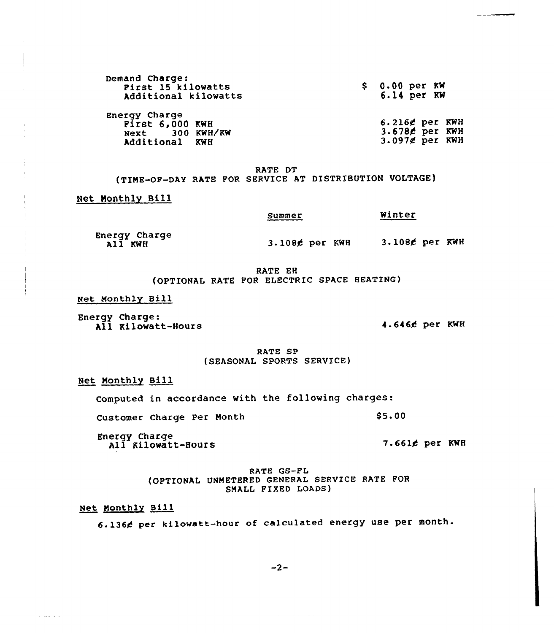| Demand Charge:<br>First 15 kilowatts<br>Additional kilowatts            | \$0.00~per~RN<br>6.14 per KW                            |
|-------------------------------------------------------------------------|---------------------------------------------------------|
| Energy Charge<br>First $6,000$ KWH<br>Next 300 KWH/KW<br>Additional KWH | $6.216$ g per KWE<br>3.678¢ per KWI<br>$3.097g$ per KWI |

RATE DT

(TIME-OF-DAY RATE FOR SERVICE AT DISTRIBUTION VOLTAGE)

#### Net Monthly Bill

Summer Winter

Energy Charge<br>All KWH

3.1086 per KWH 3.1086 per KWH

RATE EH (OPTIONAL RATE POR ELECTRIC SPACE HEATING}

Net Monthly Bill

Energy Charge: All Kilowatt-Hours 4.6466 per KWH

RATE SP (SEASONAL SPORTS SERVICE)

Net Monthly Bill

Computed in accordance with the following charges:

Customer Charge Per Month 85.00

Energy Charge All Kilowatt-Hours

7-6614 per KWH

RATE GS-PL (OPTIONAL UNMETERED GENERAL SERVICE RATE POR SMALL PIXED LOADS)

Net Monthly Sill

 $\sim$  and  $\sim$   $\sim$ 

6.1364 per kilowatt-hour of calculated energy use per month.

 $-2-$ 

 $\mathcal{L}(\mathbf{x})$  , where  $\mathcal{L}(\mathbf{x})$  is a set of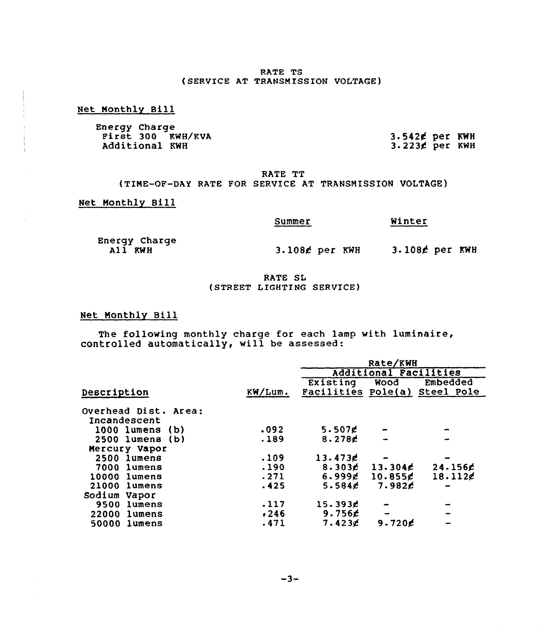#### RATE TS (SERVICE AT TRANSMISSION VOLTAGE)

#### Net Monthly Bill

Energy Charge<br>First 300 KWH/KVA Additional KWH

3.542¢ per KWH<br>3.223¢ per KWH

RATE TT (TINE-OF-DAY RATE FOR SERVICE AT TRANSNISSION VOLTAGE)

Net Nonthly Bill

#### Summer

Energy Charge All KWH

3.108£ per KWH

3.1088 per KWH

Winter

# RATE SL (STREET LIGHTING SERVICE)

# Net Monthly Bill

The following monthly charge for each lamp with luminaire controlled automatically, will be assessed

|                      |         | Rate/KWH           |                       |            |
|----------------------|---------|--------------------|-----------------------|------------|
|                      |         |                    | Additional Facilities |            |
|                      |         | Existing           | Wood                  | Embedded   |
| Description          | KW/Lum. | Facilities Pole(a) |                       | Steel Pole |
| Overhead Dist. Area: |         |                    |                       |            |
| Incandescent         |         |                    |                       |            |
| 1000 lumens<br>(b)   | .092    | 5.507 $E$          |                       |            |
| 2500 lumens<br>(b)   | .189    | $8.278$ g          |                       |            |
| Mercury Vapor        |         |                    |                       |            |
| 2500 lumens          | .109    | 13.4736            |                       |            |
| 7000 lumens          | .190    | 8.303 <sub>c</sub> | 13.304c               | $24.156$ £ |
| 10000<br>lumens      | .271    | 6.999g             | 10.855g               | $18.112$ g |
| 21000 lumens         | .425    | $5.584$ g          | 7.982C                |            |
| Sodium Vapor         |         |                    |                       |            |
| lumens<br>9500       | .117    | 15.3936            |                       |            |
| 22000<br>lumens      | .246    | 9.756              |                       |            |
| 50000<br>lumens      | .471    | $7.423$ g          | $9.720$ c             |            |
|                      |         |                    |                       |            |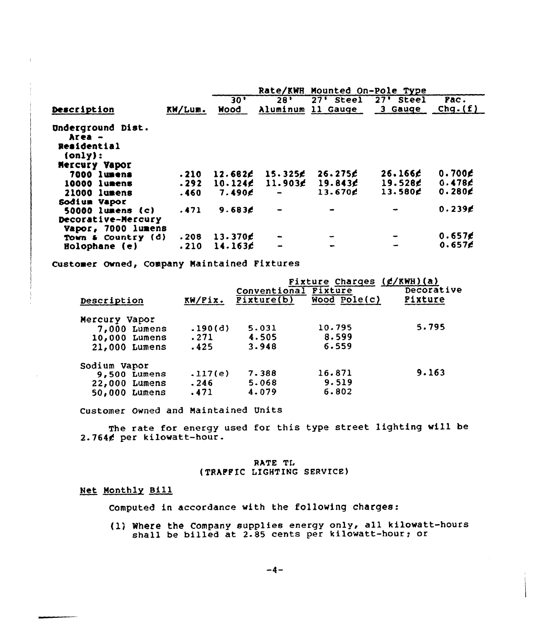|                                                                               |         |             |          | Rate/KWH Mounted On-Pole Type |             |                    |
|-------------------------------------------------------------------------------|---------|-------------|----------|-------------------------------|-------------|--------------------|
|                                                                               |         | 30'         | 28'      | 27' Steel                     | $27'$ Steel | Fac.               |
| Description                                                                   | KW/Lum. | <b>Nood</b> | Aluminum | 11 Gauge                      | 3 Gauge     | Chg. $(f)$         |
| Underground Dist.<br>Area –<br>Residential<br>(only):<br><b>Mercury Vapor</b> |         |             |          |                               |             |                    |
| 7000 lumens                                                                   | .210    | 12.682c     | 15.325E  | 26.275E                       | 26.166c     | 0.700E             |
| 10000 lumens                                                                  | .292    | 10.124      | 11.9036  | 19.843f                       | 19.528      | 0.478c             |
| 21000 lumens                                                                  | .460    | 7.490E      |          | 13.670¢                       | 13.580c     | 0.280 $\epsilon$   |
| Sodium Vapor<br>50000 lumens (c)                                              | .471    | 9.683c      |          |                               |             | 0.239 <sub>E</sub> |
| Decorative-Mercury<br>Vapor, 7000 lumens                                      |         |             |          |                               |             |                    |
| Town & Country (d)                                                            | .208    | $13.370$ c  |          | $\frac{1}{2}$                 |             | 0.657 <sub>0</sub> |
| Holophane (e)                                                                 | .210    | 14.163c     |          |                               |             | 0.657 <sub>E</sub> |

Customer Owned, Company Maintained Fixtures

| Description     | KW/Fix. | Conventional Fixture<br>Pixture(b) | Fixture Charges $(f/KWH)(a)$<br>Wood $Pole(c)$ | Decorative<br>Fixture |
|-----------------|---------|------------------------------------|------------------------------------------------|-----------------------|
| Mercury Vapor   |         |                                    |                                                |                       |
| $7,000$ Lumens  | .190(d) | 5.031                              | 10.795                                         | 5.795                 |
| 10,000 Lumens   | .271    | 4.505                              | 8.599                                          |                       |
| 21,000 Lumens   | .425    | 3.948                              | 6.559                                          |                       |
| Sodium Vapor    |         |                                    |                                                |                       |
| $9.500$ Lumens  | .117(e) | 7.388                              | 16.871                                         | 9.163                 |
| 22,000 Lumens   | .246    | 5.068                              | 9.519                                          |                       |
| $50,000$ Lumens | .471    | 4.079                              | 6.802                                          |                       |

Customer Owned and Maintained Units

The rate for energy used for this type street lighting will be 2.7644 per kilowatt-hour.

# RATE TL (TRAPPIC LIGHTING SERVICE)

# Net Monthly sill

Computed in accordance with the following charges:

(1) Where the Company supplies energy only, all kilowatt-hours shall be billed at 2.85 cents per kilowatt-hour; or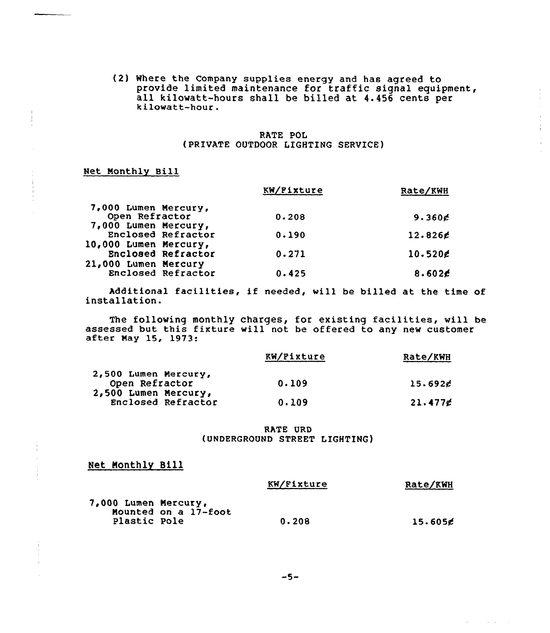(2) Where the Company supplies energy and has agreed to provide limited maintenance for traffic signal equipment, all kilowatt-hours shall be billed at 4.456 cents per kilowatt-hour.

# RATE POL (PRIVATE OUTDOOR LIGHTING SERVICE)

# Net Monthly Bill

|                                                                | KW/Fixture | Rate/KWH         |
|----------------------------------------------------------------|------------|------------------|
| 7,000 Lumen Mercury,<br>Open Refractor<br>7,000 Lumen Mercury, | 0.208      | 9.360 $E$        |
| Enclosed Refractor                                             | 0.190      | $12.826$ g       |
| 10,000 Lumen Mercury,<br>Enclosed Refractor                    | 0.271      | $10.520$ g       |
| 21,000 Lumen Mercury<br>Enclosed Refractor                     | 0.425      | 8.602 $\epsilon$ |

Additional facilities, if needed, will be billed at the time of installation.

The following monthly charges, for existing facilities, will be assessed but this fixture will not be offered to any new customer after May 15, 1973:

|                                            | KW/Fixture | Rate/KWH |
|--------------------------------------------|------------|----------|
| 2,500 Lumen Mercury,<br>Open Refractor     | 0.109      | 15.692c  |
| 2,500 Lumen Mercury,<br>Enclosed Refractor | 0.109      | 21.477g  |

RATE URD (UNDERGROUND STREET LIGHTING)

# Net Nonthly Bill

|                      |                      | KW/Fixture | Rate/KWH            |
|----------------------|----------------------|------------|---------------------|
| 7,000 Lumen Mercury, | Mounted on a 17-foot |            |                     |
| Plastic Pole         |                      | 0.208      | 15.605 <sub>0</sub> |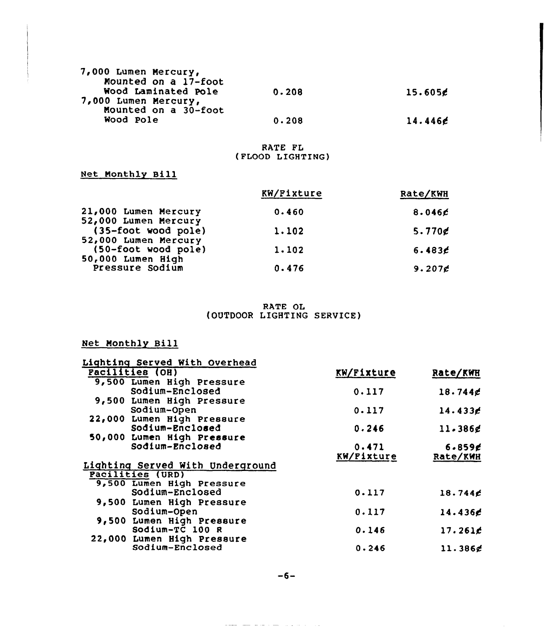| 7,000 Lumen Mercury, |       |         |
|----------------------|-------|---------|
| Mounted on a 17-foot |       |         |
| Wood Laminated Pole  | 0.208 | 15.605c |
| 7,000 Lumen Mercury, |       |         |
| Mounted on a 30-foot |       |         |
| Wood Pole            | 0.208 | 14.446c |
|                      |       |         |

# RATE FL (FLOOD LIGHTING)

Net Monthly Bill

|                                             | KW/Fixture | Rate/KWH           |
|---------------------------------------------|------------|--------------------|
| 21,000 Lumen Mercury                        | 0.460      | 8.046 <sub>2</sub> |
| 52,000 Lumen Mercury<br>(35-foot wood pole) | 1.102      | $5.770$ g          |
| 52,000 Lumen Mercury<br>(50-foot wood pole) | 1.102      | 6.483E             |
| 50,000 Lumen High<br>Pressure Sodium        | 0.476      | 9.207 <sub>g</sub> |

RATE OL (OUTDOOR LIGHTING SERVICE)

# Net Monthly Bill

| Lighting Served With Overhead    |            |             |
|----------------------------------|------------|-------------|
| <b>Facilities (OH)</b>           | KW/Fixture | Rate/KWH    |
| 9,500 Lumen High Pressure        |            |             |
| Sodium-Enclosed                  | 0.117      | $18.744$ g  |
| 9,500 Lumen High Pressure        |            |             |
| Sodium-Open                      | 0.117      | 14.4336     |
| 22,000 Lumen High Pressure       |            |             |
| Sodium-Enclosed                  | 0.246      | 11.386g     |
| 50,000 Lumen High Pressure       |            |             |
| Sodium-Enclosed                  | 0.471      | $6 - 859$ g |
|                                  | KW/Fixture | Rate/KWH    |
| Lighting Served With Underground |            |             |
| <b>Pacilities (URD)</b>          |            |             |
| 9,500 Lumen High Pressure        |            |             |
| Sodium-Enclosed                  | 0.117      | 18.744c     |
| 9,500 Lumen High Pressure        |            |             |
| Sodium-Open                      | 0.117      | 14.436c     |
| 9,500 Lumen High Pressure        |            |             |
| Sodium-TC $100 R$                | 0.146      | 17.261c     |
| 22,000 Lumen High Pressure       |            |             |
| Sodium-Enclosed                  | 0.246      | 11.386c     |

الوارد والمحاربي والمسام والقريط السلمان فلقطاط